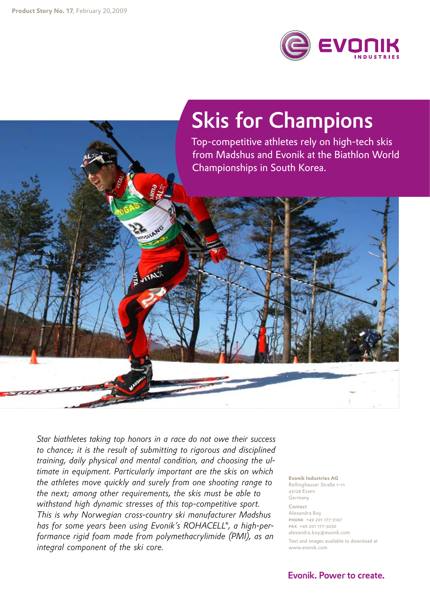

## Skis for Champions

Top-competitive athletes rely on high-tech skis from Madshus and Evonik at the Biathlon World Championships in South Korea.

*Star biathletes taking top honors in a race do not owe their success to chance; it is the result of submitting to rigorous and disciplined training, daily physical and mental condition, and choosing the ultimate in equipment. Particularly important are the skis on which the athletes move quickly and surely from one shooting range to the next; among other requirements, the skis must be able to withstand high dynamic stresses of this top-competitive sport. This is why Norwegian cross-country ski manufacturer Madshus has for some years been using Evonik's ROHACELL®, a high-performance rigid foam made from polymethacrylimide (PMI), as an integral component of the ski core.*

**ATALK** 

**Evonik Industries AG** Rellinghauser Straße 1–11 45128 Essen Germany Contact Alexandra Boy phone +49 201 177-3167 fax +49 201 177-3030 alexandra.boy@evonik.com Text and images available to download at www.evonik.com

Evonik. Power to create.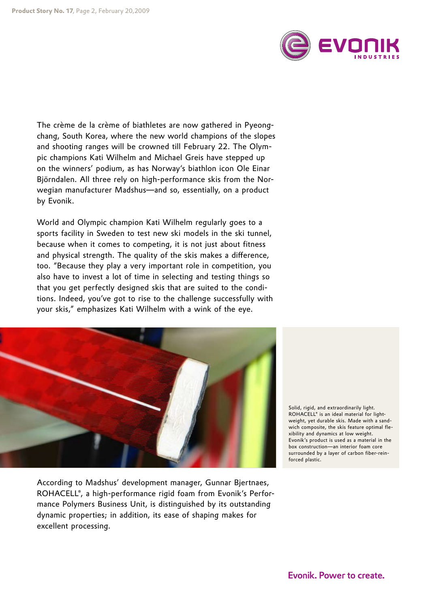

The crème de la crème of biathletes are now gathered in Pyeongchang, South Korea, where the new world champions of the slopes and shooting ranges will be crowned till February 22. The Olympic champions Kati Wilhelm and Michael Greis have stepped up on the winners' podium, as has Norway's biathlon icon Ole Einar Björndalen. All three rely on high-performance skis from the Norwegian manufacturer Madshus—and so, essentially, on a product by Evonik.

World and Olympic champion Kati Wilhelm regularly goes to a sports facility in Sweden to test new ski models in the ski tunnel, because when it comes to competing, it is not just about fitness and physical strength. The quality of the skis makes a difference, too. "Because they play a very important role in competition, you also have to invest a lot of time in selecting and testing things so that you get perfectly designed skis that are suited to the conditions. Indeed, you've got to rise to the challenge successfully with your skis," emphasizes Kati Wilhelm with a wink of the eye.



According to Madshus' development manager, Gunnar Bjertnaes, ROHACELL®, a high-performance rigid foam from Evonik's Performance Polymers Business Unit, is distinguished by its outstanding dynamic properties; in addition, its ease of shaping makes for excellent processing.

Solid, rigid, and extraordinarily light. ROHACELL® is an ideal material for lightweight, yet durable skis. Made with a sandwich composite, the skis feature optimal flexibility and dynamics at low weight. Evonik's product is used as a material in the box construction—an interior foam core surrounded by a layer of carbon fiber-reinforced plastic.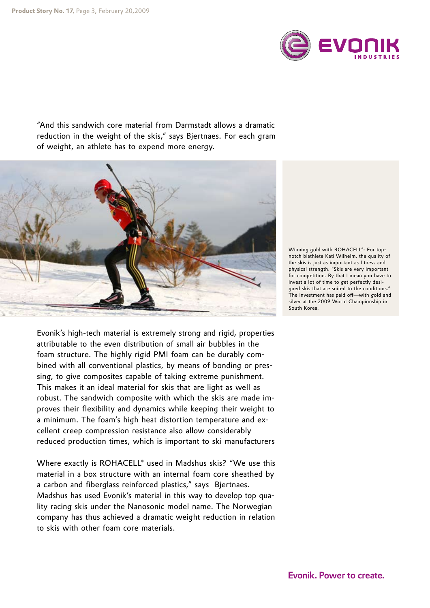

"And this sandwich core material from Darmstadt allows a dramatic reduction in the weight of the skis," says Bjertnaes. For each gram of weight, an athlete has to expend more energy.



Evonik's high-tech material is extremely strong and rigid, properties attributable to the even distribution of small air bubbles in the foam structure. The highly rigid PMI foam can be durably combined with all conventional plastics, by means of bonding or pressing, to give composites capable of taking extreme punishment. This makes it an ideal material for skis that are light as well as robust. The sandwich composite with which the skis are made improves their flexibility and dynamics while keeping their weight to a minimum. The foam's high heat distortion temperature and excellent creep compression resistance also allow considerably reduced production times, which is important to ski manufacturers

Where exactly is ROHACELL® used in Madshus skis? "We use this material in a box structure with an internal foam core sheathed by a carbon and fiberglass reinforced plastics," says Bjertnaes. Madshus has used Evonik's material in this way to develop top quality racing skis under the Nanosonic model name. The Norwegian company has thus achieved a dramatic weight reduction in relation to skis with other foam core materials.

Winning gold with ROHACELL®: For topnotch biathlete Kati Wilhelm, the quality of the skis is just as important as fitness and physical strength. "Skis are very important for competition. By that I mean you have to invest a lot of time to get perfectly designed skis that are suited to the conditions." The investment has paid off—with gold and silver at the 2009 World Championship in South Korea.